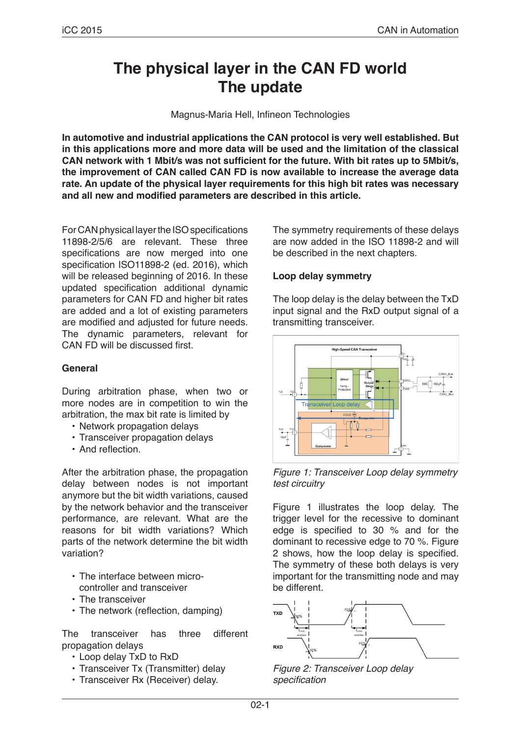# **The physical layer in the CAN FD world The update**

Magnus-Maria Hell, Infineon Technologies

**In automotive and industrial applications the CAN protocol is very well established. But in this applications more and more data will be used and the limitation of the classical CAN network with 1 Mbit/s was not sufficient for the future. With bit rates up to 5Mbit/s, the improvement of CAN called CAN FD is now available to increase the average data rate. An update of the physical layer requirements for this high bit rates was necessary and all new and modified parameters are described in this article.**

For CAN physical layer the ISO specifications 11898-2/5/6 are relevant. These three specifications are now merged into one specification ISO11898-2 (ed. 2016), which will be released beginning of 2016. In these updated specification additional dynamic parameters for CAN FD and higher bit rates are added and a lot of existing parameters are modified and adjusted for future needs. The dynamic parameters, relevant for CAN FD will be discussed first.

# **General**

During arbitration phase, when two or more nodes are in competition to win the arbitration, the max bit rate is limited by

- Network propagation delays
- Transceiver propagation delays
- And reflection.

After the arbitration phase, the propagation delay between nodes is not important anymore but the bit width variations, caused by the network behavior and the transceiver performance, are relevant. What are the reasons for bit width variations? Which parts of the network determine the bit width variation?

- The interface between microcontroller and transceiver
- The transceiver
- The network (reflection, damping)

The transceiver has three different propagation delays

- Loop delay TxD to RxD
- Transceiver Tx (Transmitter) delay
- Transceiver Rx (Receiver) delay.

The symmetry requirements of these delays are now added in the ISO 11898-2 and will be described in the next chapters.

#### **Loop delay symmetry**

The loop delay is the delay between the TxD input signal and the RxD output signal of a transmitting transceiver.



*Figure 1: Transceiver Loop delay symmetry test circuitry*

Figure 1 illustrates the loop delay. The trigger level for the recessive to dominant edge is specified to 30 % and for the dominant to recessive edge to 70 %. Figure 2 shows, how the loop delay is specified. The symmetry of these both delays is very important for the transmitting node and may be different.



*Figure 2: Transceiver Loop delay*  specification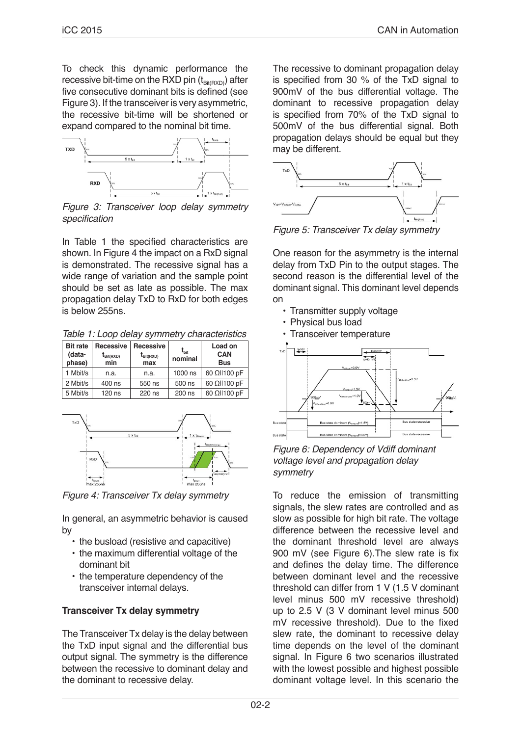To check this dynamic performance the recessive bit-time on the RXD pin  $(t_{\text{Bit(RXD)}})$  after five consecutive dominant bits is defined (see Figure 3). If the transceiver is very asymmetric. the recessive bit-time will be shortened or expand compared to the nominal bit time.



*Figure 3: Transceiver loop delay symmetry*  specification

In Table 1 the specified characteristics are shown. In Figure 4 the impact on a RxD signal is demonstrated. The recessive signal has a wide range of variation and the sample point should be set as late as possible. The max propagation delay TxD to RxD for both edges is below 255ns.

| <b>Bit rate</b><br>(data-<br>phase) | Recessive<br>$t_{\text{Bit(RXD)}}$<br>min | Recessive<br>$t_{\text{Bit(RXD)}}$<br>max | $t_{\rm bit}$<br>nominal | Load on<br><b>CAN</b><br><b>Bus</b> |
|-------------------------------------|-------------------------------------------|-------------------------------------------|--------------------------|-------------------------------------|
| 1 Mbit/s                            | n.a.                                      | n.a.                                      | 1000 ns                  | 60 Ωll100 pF                        |
| 2 Mbit/s                            | 400 ns                                    | 550 ns                                    | 500 ns                   | 60 Ωll100 pF                        |
| 5 Mbit/s                            | 120 ns                                    | 220 ns                                    | 200 ns                   | 60 Ωll100 pF                        |



*Figure 4: Transceiver Tx delay symmetry*

In general, an asymmetric behavior is caused by

- the busload (resistive and capacitive)
- the maximum differential voltage of the dominant bit
- the temperature dependency of the transceiver internal delays.

# **Transceiver Tx delay symmetry**

The Transceiver Tx delay is the delay between the TxD input signal and the differential bus output signal. The symmetry is the difference between the recessive to dominant delay and the dominant to recessive delay.

The recessive to dominant propagation delay is specified from 30 % of the TxD signal to 900mV of the bus differential voltage. The dominant to recessive propagation delay is specified from 70% of the TxD signal to 500mV of the bus differential signal. Both propagation delays should be equal but they may be different.



*Figure 5: Transceiver Tx delay symmetry*

One reason for the asymmetry is the internal delay from TxD Pin to the output stages. The second reason is the differential level of the dominant signal. This dominant level depends on

- Transmitter supply voltage
- Physical bus load
- Transceiver temperature



*Figure 6: Dependency of Vdiff dominant voltage level and propagation delay symmetry*

To reduce the emission of transmitting signals, the slew rates are controlled and as slow as possible for high bit rate. The voltage difference between the recessive level and the dominant threshold level are always 900 mV (see Figure 6).The slew rate is fix and defines the delay time. The difference between dominant level and the recessive threshold can differ from 1 V (1.5 V dominant level minus 500 mV recessive threshold) up to 2.5 V (3 V dominant level minus 500 mV recessive threshold). Due to the fixed slew rate, the dominant to recessive delay time depends on the level of the dominant signal. In Figure 6 two scenarios illustrated with the lowest possible and highest possible dominant voltage level. In this scenario the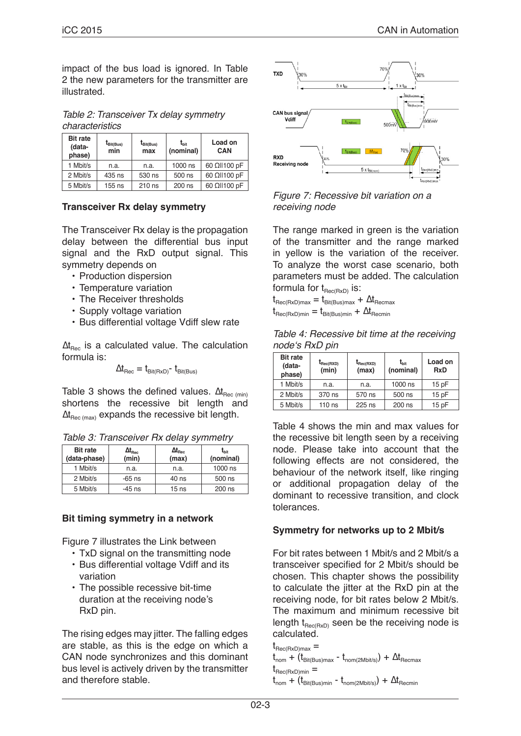impact of the bus load is ignored. In Table 2 the new parameters for the transmitter are illustrated.

*Table 2: Transceiver Tx delay symmetry characteristics*

| <b>Bit rate</b><br>(data-<br>phase) | $t_{\text{Bit(Bus)}}$<br>min | $t_{\text{Bit(Bus)}}$<br>max | $t_{\rm bit}$<br>(nominal) | Load on<br><b>CAN</b> |
|-------------------------------------|------------------------------|------------------------------|----------------------------|-----------------------|
| 1 Mbit/s                            | n.a.                         | n.a.                         | 1000 ns                    | 60 Ωll100 pF          |
| 2 Mbit/s                            | 435 ns                       | 530 ns                       | 500 ns                     | 60 Ωll100 pF          |
| 5 Mbit/s                            | $155$ ns                     | 210 ns                       | 200 ns                     | 60 Ωll100 pF          |

# **Transceiver Rx delay symmetry**

The Transceiver Rx delay is the propagation delay between the differential bus input signal and the RxD output signal. This symmetry depends on

- Production dispersion
- Temperature variation
- The Receiver thresholds
- Supply voltage variation
- Bus differential voltage Vdiff slew rate

 $\Delta t_{\text{Rec}}$  is a calculated value. The calculation formula is:

 $\Delta t_{\text{Rec}} = t_{\text{Bit(RxD)}} - t_{\text{Bit(Bus)}}$ 

Table 3 shows the defined values.  $\Delta t_{\text{Rec (min)}}$ shortens the recessive bit length and  $\Delta t_{\text{Rec (max)}}$  expands the recessive bit length.

| <b>Bit rate</b><br>(data-phase) | $\Delta t_{\tiny\rm Rec}$<br>(min) | $\Delta t_{\tiny\rm Rec}$<br>(max) | $t_{\rm bit}$<br>(nominal) |
|---------------------------------|------------------------------------|------------------------------------|----------------------------|
| 1 Mbit/s                        | n.a.                               | n.a.                               | 1000 ns                    |
| 2 Mbit/s                        | $-65$ ns                           | 40 ns                              | 500 ns                     |
| 5 Mbit/s                        | -45 ns                             | 15 <sub>ns</sub>                   | 200 ns                     |

#### **Bit timing symmetry in a network**

Figure 7 illustrates the Link between

- TxD signal on the transmitting node
- Bus differential voltage Vdiff and its variation
- The possible recessive bit-time duration at the receiving node's RxD pin.

The rising edges may jitter. The falling edges are stable, as this is the edge on which a CAN node synchronizes and this dominant bus level is actively driven by the transmitter and therefore stable.



*Figure 7: Recessive bit variation on a receiving node*

The range marked in green is the variation of the transmitter and the range marked in yellow is the variation of the receiver. To analyze the worst case scenario, both parameters must be added. The calculation formula for  $t_{\text{Rec}(\text{RxD})}$  is:

 $t_{\text{Rec(RxD)max}} = t_{\text{Bit(Bus)max}} + \Delta t_{\text{Recmax}}$  $t_{\text{Rec(BxD)min}} = t_{\text{Rit(Rus)min}} + \Delta t_{\text{Recmin}}$ 

| Table 4: Recessive bit time at the receiving |
|----------------------------------------------|
| node's RxD pin                               |

| <b>Bit rate</b><br>(data-<br>phase) | $t_{\text{Rec}(\text{RXD})}$<br>(min) | $t_{\text{Rec(RXD)}}$<br>(max) | $t_{\rm bit}$<br>(nominal) | Load on<br><b>RxD</b> |
|-------------------------------------|---------------------------------------|--------------------------------|----------------------------|-----------------------|
| 1 Mbit/s                            | n.a.                                  | n.a.                           | 1000 ns                    | 15pF                  |
| 2 Mbit/s                            | 370 ns                                | 570 ns                         | 500 ns                     | 15pF                  |
| 5 Mbit/s                            | 110 ns                                | $225$ ns                       | 200 ns                     | 15pF                  |

Table 4 shows the min and max values for the recessive bit length seen by a receiving node. Please take into account that the following effects are not considered, the behaviour of the network itself, like ringing or additional propagation delay of the dominant to recessive transition, and clock tolerances.

#### **Symmetry for networks up to 2 Mbit/s**

For bit rates between 1 Mbit/s and 2 Mbit/s a transceiver specified for 2 Mbit/s should be chosen. This chapter shows the possibility to calculate the jitter at the RxD pin at the receiving node, for bit rates below 2 Mbit/s. The maximum and minimum recessive bit length  $t_{\text{Rec(RxD)}}$  seen be the receiving node is calculated.

```
t_{\text{Rec(BxD)max}} =t_{\text{nom}} + (t_{\text{Bit(Bus)max}} - t_{\text{nom(2Mbit/s)}}) + \Delta t_{\text{Recmax}}t_{\text{Rec}(\text{RxD})\text{min}} =
```

```
t_{nom} + (t_{Bit(Bus)min} - t_{nom(2Mbit/s)}) + \Delta t_{Recmin}
```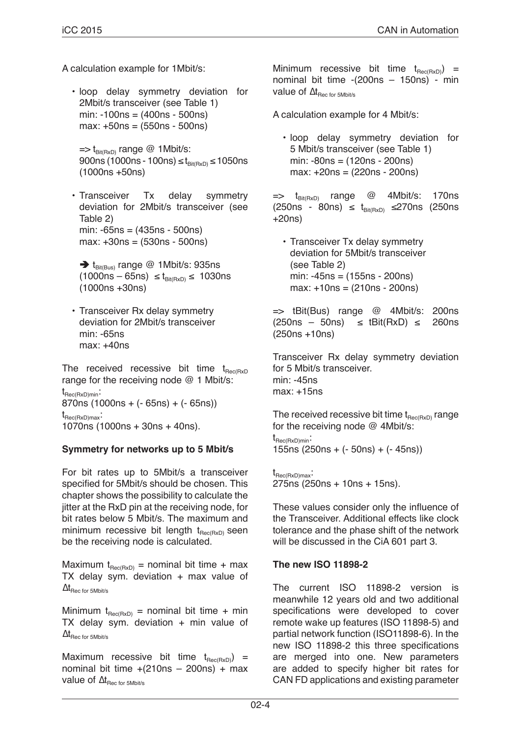A calculation example for 1Mbit/s:

• loop delay symmetry deviation for 2Mbit/s transceiver (see Table 1) min: -100ns = (400ns - 500ns) max: +50ns = (550ns - 500ns)

 $\Rightarrow$  t<sub>Bit(RxD)</sub> range @ 1Mbit/s:  $900ns$  (1000ns - 100ns) ≤  $t_{Bit(RxD)}$  ≤ 1050ns (1000ns +50ns)

- Transceiver Tx delay symmetry deviation for 2Mbit/s transceiver (see Table 2) min: -65ns = (435ns - 500ns) max: +30ns = (530ns - 500ns)
	- $\rightarrow$  t<sub>Bit(Bus)</sub> range @ 1Mbit/s: 935ns  $(1000ns - 65ns) \le t_{\text{Bit(RVD)}} \le 1030ns$ (1000ns +30ns)
- Transceiver Rx delay symmetry deviation for 2Mbit/s transceiver min: -65ns max: +40ns

The received recessive bit time  $t_{Rec(RxD)}$ range for the receiving node @ 1 Mbit/s:  $t_{\text{Rec(RxD)min}}$ : 870ns (1000ns + (- 65ns) + (- 65ns))  $t_{\text{Rec(RxD)max}}$ : 1070ns (1000ns + 30ns + 40ns).

# **Symmetry for networks up to 5 Mbit/s**

For bit rates up to 5Mbit/s a transceiver specified for 5Mbit/s should be chosen. This chapter shows the possibility to calculate the jitter at the RxD pin at the receiving node, for bit rates below 5 Mbit/s. The maximum and minimum recessive bit length  $t_{\text{Rec(RxD)}}$  seen be the receiving node is calculated.

Maximum  $t_{\text{Rec(RxD)}}$  = nominal bit time + max TX delay sym. deviation  $+$  max value of  $\Delta t_{\text{Rec for 5Mbit/s}}$ 

Minimum  $t_{\text{Rec(RxD)}}$  = nominal bit time + min TX delay sym. deviation  $+$  min value of  $\Delta t_{\text{Rec for 5Mbit/s}}$ 

Maximum recessive bit time  $t_{Rec(RxD)}$  = nominal bit time  $+(210ns - 200ns) + max$ value of  $\Delta t_{\text{Rec for 5Mbit/s}}$ 

Minimum recessive bit time  $t_{\text{Rec}(\text{RxD})}$  = nominal bit time -(200ns – 150ns) - min value of  $\Delta t_{\text{Rec for 5Mbit/s}}$ 

A calculation example for 4 Mbit/s:

• loop delay symmetry deviation for 5 Mbit/s transceiver (see Table 1) min: -80ns = (120ns - 200ns) max: +20ns = (220ns - 200ns)

 $\Rightarrow$  t<sub>Bit(RxD)</sub> range @ 4Mbit/s: 170ns  $(250ns - 80ns) \le t_{Bit(RxD)} \le 270ns$  (250ns +20ns)

• Transceiver Tx delay symmetry deviation for 5Mbit/s transceiver (see Table 2) min: -45ns = (155ns - 200ns) max: +10ns = (210ns - 200ns)

 $\Rightarrow$  tBit(Bus) range @ 4Mbit/s: 200ns  $(250ns - 50ns) \leq tBit(RxD) \leq 260ns$ (250ns +10ns)

Transceiver Rx delay symmetry deviation for 5 Mbit/s transceiver. min: -45ns max: +15ns

The received recessive bit time  $t_{\text{Rec}(\text{RxD})}$  range for the receiving node @ 4Mbit/s:

 $t_{\text{Rec(RxD)min}}$ . 155ns (250ns + (- 50ns) + (- 45ns))

 $t_{\text{Rec(RxD)max}}$ : 275ns (250ns + 10ns + 15ns).

These values consider only the influence of the Transceiver. Additional effects like clock tolerance and the phase shift of the network will be discussed in the CiA 601 part 3.

# **The new ISO 11898-2**

The current ISO 11898-2 version is meanwhile 12 years old and two additional specifications were developed to cover remote wake up features (ISO 11898-5) and partial network function (ISO11898-6). In the new ISO 11898-2 this three specifications are merged into one. New parameters are added to specify higher bit rates for CAN FD applications and existing parameter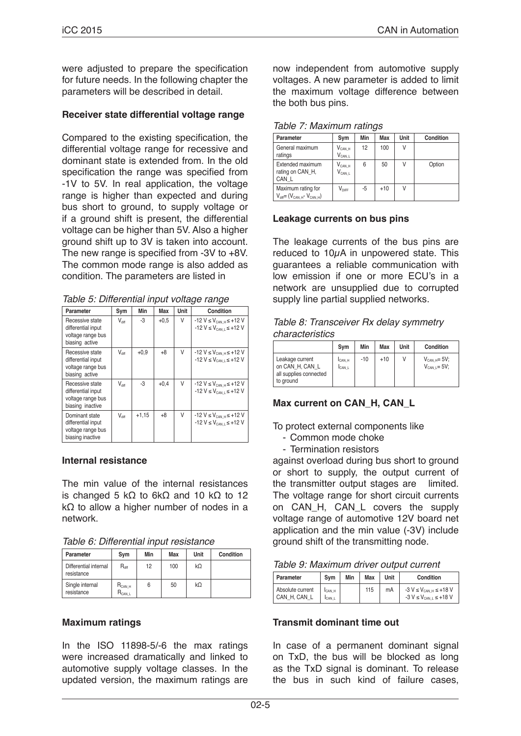were adjusted to prepare the specification for future needs. In the following chapter the parameters will be described in detail.

#### **Receiver state differential voltage range**

Compared to the existing specification, the differential voltage range for recessive and dominant state is extended from. In the old specification the range was specified from -1V to 5V. In real application, the voltage range is higher than expected and during bus short to ground, to supply voltage or if a ground shift is present, the differential voltage can be higher than 5V. Also a higher ground shift up to 3V is taken into account. The new range is specified from -3V to +8V. The common mode range is also added as condition. The parameters are listed in

*Table 5: Differential input voltage range*

| Parameter                                                                      | Sym               | Min     | Max    | Unit | Condition                                                                                        |  |  |  |
|--------------------------------------------------------------------------------|-------------------|---------|--------|------|--------------------------------------------------------------------------------------------------|--|--|--|
| Recessive state<br>differential input<br>voltage range bus<br>biasing active   | $V_{\text{diff}}$ | -3      | $+0.5$ | V    | $-12$ V $\leq$ V <sub>CAN H</sub> $\leq$ +12 V<br>$-12$ V $\leq$ V <sub>CAN L</sub> $\leq$ +12 V |  |  |  |
| Recessive state<br>differential input<br>voltage range bus<br>biasing active   | $V_{\text{diff}}$ | $+0.9$  | $+8$   | V    | $-12$ V $\leq$ V <sub>CAN H</sub> $\leq$ +12 V<br>$-12$ V $\leq$ V <sub>CAN L</sub> $\leq$ +12 V |  |  |  |
| Recessive state<br>differential input<br>voltage range bus<br>biasing inactive | $V_{\text{diff}}$ | -3      | $+0.4$ | V    | $-12 V \le V_{CAN H} \le +12 V$<br>$-12$ V $\leq$ V <sub>CAN L</sub> $\leq$ +12 V                |  |  |  |
| Dominant state<br>differential input<br>voltage range bus<br>biasing inactive  | $V_{\text{diff}}$ | $+1,15$ | $+8$   | V    | $-12$ V $\leq$ V <sub>CAN H</sub> $\leq$ +12 V<br>$-12$ V $\leq$ V <sub>CAN L</sub> $\leq$ +12 V |  |  |  |

#### **Internal resistance**

The min value of the internal resistances is changed 5 kΩ to 6kΩ and 10 kΩ to 12 kΩ to allow a higher number of nodes in a network.

*Table 6: Differential input resistance*

| Parameter                           | Sym                        | Min | Max | Unit | Condition |
|-------------------------------------|----------------------------|-----|-----|------|-----------|
| Differential internal<br>resistance | $R_{\text{diff}}$          | 12  | 100 | kΩ   |           |
| Single internal<br>resistance       | $R_{CAN,H}$<br>$R_{CAN L}$ | 6   | 50  | kΩ   |           |

#### **Maximum ratings**

In the ISO 11898-5/-6 the max ratings were increased dramatically and linked to automotive supply voltage classes. In the updated version, the maximum ratings are now independent from automotive supply voltages. A new parameter is added to limit the maximum voltage difference between the both bus pins.

*Table 7: Maximum ratings*

| Parameter                                                  | Sym                                           | Min | Max   | Unit | Condition |
|------------------------------------------------------------|-----------------------------------------------|-----|-------|------|-----------|
| General maximum<br>ratings                                 | $V_{CAN.H}$<br>$\mathsf{V}_{\mathsf{CAN\ L}}$ | 12  | 100   | ٧    |           |
| Extended maximum<br>rating on CAN H.<br>CAN L              | $\mathsf{V}_{\mathsf{CAN\ H}}$<br>$V_{CAN.L}$ | 6   | 50    | ٧    | Option    |
| Maximum rating for<br>$V_{diff} = (V_{CAN H} - V_{CAN H})$ | $V_{\text{DIFF}}$                             | -5  | $+10$ | ٧    |           |

# **Leakage currents on bus pins**

The leakage currents of the bus pins are reduced to  $10\mu$ A in unpowered state. This guarantees a reliable communication with low emission if one or more ECU's in a network are unsupplied due to corrupted supply line partial supplied networks.

#### *Table 8: Transceiver Rx delay symmetry characteristics*

|                                                                           | Svm                             | Min | Max   | Unit | Condition                                |
|---------------------------------------------------------------------------|---------------------------------|-----|-------|------|------------------------------------------|
| Leakage current<br>on CAN H, CAN L<br>all supplies connected<br>to ground | <b>I</b> CAN H<br><b>ICAN L</b> | -10 | $+10$ |      | $V_{CAN H} = 5V$ ;<br>$V_{CAN L} = 5V$ ; |

# **Max current on CAN\_H, CAN\_L**

To protect external components like

- Common mode choke
- Termination resistors

against overload during bus short to ground or short to supply, the output current of the transmitter output stages are limited. The voltage range for short circuit currents on CAN\_H, CAN\_L covers the supply voltage range of automotive 12V board net application and the min value (-3V) include ground shift of the transmitting node.

| Table 9: Maximum driver output current |  |  |  |
|----------------------------------------|--|--|--|
|----------------------------------------|--|--|--|

| Parameter                        | Svm                                 | Min | Max | Unit | Condition                                                                                |
|----------------------------------|-------------------------------------|-----|-----|------|------------------------------------------------------------------------------------------|
| Absolute current<br>CAN H. CAN L | <sup>I</sup> CAN H<br><b>ICAN L</b> |     | 115 | mA   | $-3$ V $\leq$ V <sub>CAN H</sub> $\leq$ +18 V<br>$-3 V \leq V_{\text{CAN L}} \leq +18 V$ |

# **Transmit dominant time out**

In case of a permanent dominant signal on TxD, the bus will be blocked as long as the TxD signal is dominant. To release the bus in such kind of failure cases,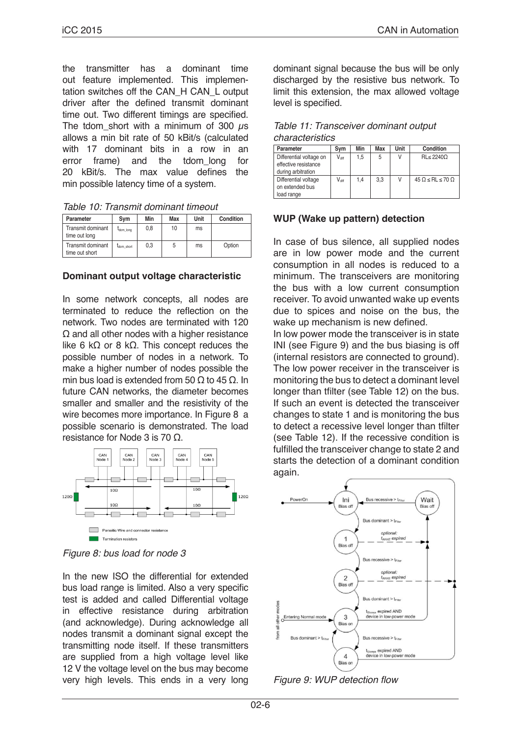the transmitter has a dominant time out feature implemented. This implementation switches off the CAN\_H CAN\_L output driver after the defined transmit dominant time out. Two different timings are specified. The tdom short with a minimum of 300  $\mu$ s allows a min bit rate of 50 kBit/s (calculated with 17 dominant bits in a row in an<br>error frame) and the tdom long for error frame) and the tdom\_long for 20 kBit/s. The max value defines the min possible latency time of a system.

*Table 10: Transmit dominant timeout* 

| Parameter                           | Svm        | Min | Max | Unit | Condition |
|-------------------------------------|------------|-----|-----|------|-----------|
| Transmit dominant<br>time out long  | dom_long   | 0.8 | 10  | ms   |           |
| Transmit dominant<br>time out short | Idom short | 0.3 | 5   | ms   | Option    |

#### **Dominant output voltage characteristic**

In some network concepts, all nodes are terminated to reduce the reflection on the network. Two nodes are terminated with 120 Ω and all other nodes with a higher resistance like 6 kΩ or 8 kΩ. This concept reduces the possible number of nodes in a network. To make a higher number of nodes possible the min bus load is extended from 50 Ω to 45 Ω. In future CAN networks, the diameter becomes smaller and smaller and the resistivity of the wire becomes more importance. In Figure 8 a possible scenario is demonstrated. The load resistance for Node 3 is 70 Ω.



*Figure 8: bus load for node 3*

In the new ISO the differential for extended bus load range is limited. Also a very specific test is added and called Differential voltage in effective resistance during arbitration (and acknowledge). During acknowledge all nodes transmit a dominant signal except the transmitting node itself. If these transmitters are supplied from a high voltage level like 12 V the voltage level on the bus may become very high levels. This ends in a very long

dominant signal because the bus will be only discharged by the resistive bus network. To limit this extension, the max allowed voltage level is specified.

| Table 11: Transceiver dominant output |  |
|---------------------------------------|--|
| characteristics                       |  |

| Parameter               | Sym               | Min | Max | Unit | <b>Condition</b>                   |
|-------------------------|-------------------|-----|-----|------|------------------------------------|
| Differential voltage on | $V_{\text{diff}}$ | 1.5 | 5   | ν    | $RL \leq 22400$                    |
| effective resistance    |                   |     |     |      |                                    |
| during arbitration      |                   |     |     |      |                                    |
| Differential voltage    | $V_{diff}$        | 1.4 | 3.3 | ٧    | $45 \Omega \leq RL \leq 70 \Omega$ |
| on extended bus         |                   |     |     |      |                                    |
| load range              |                   |     |     |      |                                    |

# **WUP (Wake up pattern) detection**

In case of bus silence, all supplied nodes are in low power mode and the current consumption in all nodes is reduced to a minimum. The transceivers are monitoring the bus with a low current consumption receiver. To avoid unwanted wake up events due to spices and noise on the bus, the wake up mechanism is new defined.

In low power mode the transceiver is in state INI (see Figure 9) and the bus biasing is off (internal resistors are connected to ground). The low power receiver in the transceiver is monitoring the bus to detect a dominant level longer than tfilter (see Table 12) on the bus. If such an event is detected the transceiver changes to state 1 and is monitoring the bus to detect a recessive level longer than tfilter (see Table 12). If the recessive condition is fulfilled the transceiver change to state 2 and starts the detection of a dominant condition again.



Figure 9: WUP detection flow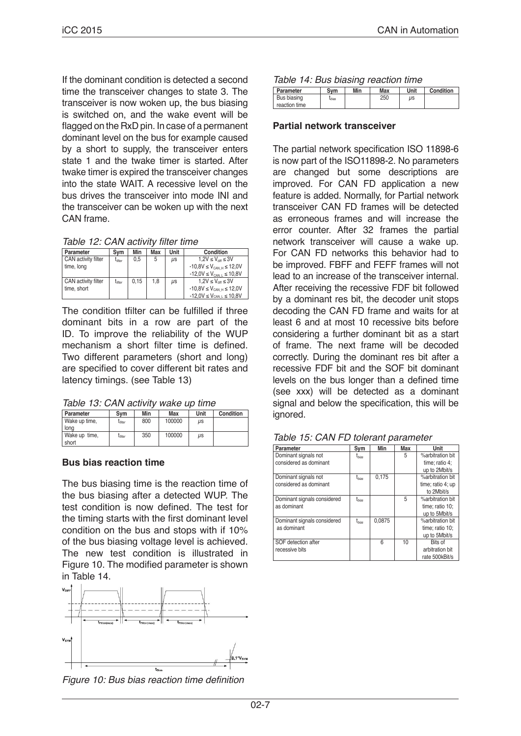If the dominant condition is detected a second time the transceiver changes to state 3. The transceiver is now woken up, the bus biasing is switched on, and the wake event will be flagged on the RxD pin. In case of a permanent dominant level on the bus for example caused by a short to supply, the transceiver enters state 1 and the twake timer is started. After twake timer is expired the transceiver changes into the state WAIT. A recessive level on the bus drives the transceiver into mode INI and the transceiver can be woken up with the next CAN frame.

Table 12: CAN activity filter time

| Parameter           | Svm          | Min  | Max | Unit    | Condition                                 |
|---------------------|--------------|------|-----|---------|-------------------------------------------|
| CAN activity filter | $t_{filter}$ | 0.5  | 5   | μs      | $1.2V \leq V_{\text{diff}} \leq 3V$       |
| time, long          |              |      |     |         | $-10.8V \leq V_{CAN H} \leq 12,0V$        |
|                     |              |      |     |         | $-12,0V \leq V_{CAN}$ $\leq 10,8V$        |
| CAN activity filter | $t_{filter}$ | 0.15 | 1.8 | $\mu$ s | $1.2V \leq V_{\text{diff}} \leq 3V$       |
| time, short         |              |      |     |         | $-10.8V \leq V_{CAN H} \leq 12.0V$        |
|                     |              |      |     |         | $-12,0V \leq V_{\text{CAN L}} \leq 10,8V$ |

The condition tfilter can be fulfilled if three dominant bits in a row are part of the ID. To improve the reliability of the WUP mechanism a short filter time is defined. Two different parameters (short and long) are specified to cover different bit rates and latency timings. (see Table 13)

*Table 13: CAN activity wake up time*

| Parameter     | Svm                 | Min | Max    | Unit      | Condition |
|---------------|---------------------|-----|--------|-----------|-----------|
| Wake up time, | $I_{\text{filter}}$ | 800 | 100000 | <b>US</b> |           |
| long          |                     |     |        |           |           |
| Wake up time, | $I_{\text{filter}}$ | 350 | 100000 | μs        |           |
| short         |                     |     |        |           |           |

#### **Bus bias reaction time**

The bus biasing time is the reaction time of the bus biasing after a detected WUP. The test condition is now defined. The test for the timing starts with the first dominant level condition on the bus and stops with if 10% of the bus biasing voltage level is achieved. The new test condition is illustrated in Figure 10. The modified parameter is shown in Table 14.



Figure 10: Bus bias reaction time definition

| Parameter     | Svm   | Min | Max | Unit | Condition |
|---------------|-------|-----|-----|------|-----------|
| Bus biasing   | Lbias |     | 250 | иs   |           |
| reaction time |       |     |     |      |           |

#### **Partial network transceiver**

The partial network specification ISO 11898-6 is now part of the ISO11898-2. No parameters are changed but some descriptions are improved. For CAN FD application a new feature is added. Normally, for Partial network transceiver CAN FD frames will be detected as erroneous frames and will increase the error counter. After 32 frames the partial network transceiver will cause a wake up. For CAN FD networks this behavior had to be improved. FBFF and FEFF frames will not lead to an increase of the transceiver internal. After receiving the recessive FDF bit followed by a dominant res bit, the decoder unit stops decoding the CAN FD frame and waits for at least 6 and at most 10 recessive bits before considering a further dominant bit as a start of frame. The next frame will be decoded correctly. During the dominant res bit after a recessive FDF bit and the SOF bit dominant levels on the bus longer than a defined time (see xxx) will be detected as a dominant signal and below the specification, this will be ignored.

| Parameter                   | Sym        | Min    | Max | Unit              |
|-----------------------------|------------|--------|-----|-------------------|
| Dominant signals not        | $t_{bias}$ |        | 5   | %arbitration bit  |
| considered as dominant      |            |        |     | time; ratio 4;    |
|                             |            |        |     | up to 2Mbit/s     |
| Dominant signals not        | $t_{bias}$ | 0.175  |     | %arbitration bit  |
| considered as dominant      |            |        |     | time; ratio 4; up |
|                             |            |        |     | to 2Mbit/s        |
| Dominant signals considered | thias      |        | 5   | %arbitration bit  |
| as dominant                 |            |        |     | time; ratio 10;   |
|                             |            |        |     | up to 5Mbit/s     |
| Dominant signals considered | $t_{bias}$ | 0.0875 |     | %arbitration bit  |
| as dominant                 |            |        |     | time; ratio 10;   |
|                             |            |        |     | up to 5Mbit/s     |
| SOF detection after         |            | 6      | 10  | Bits of           |
| recessive bits              |            |        |     | arbitration bit   |
|                             |            |        |     | rate 500kBit/s    |

|  |  |  |  |  | Table 15: CAN FD tolerant parameter |
|--|--|--|--|--|-------------------------------------|
|--|--|--|--|--|-------------------------------------|